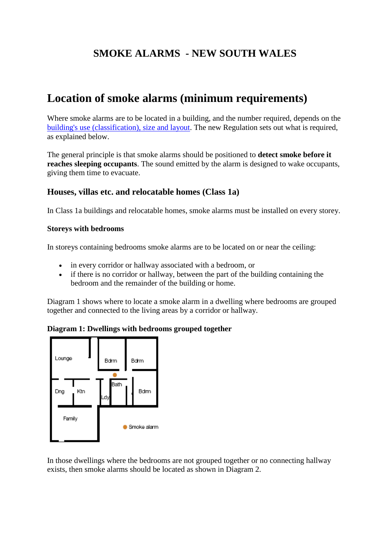# **SMOKE ALARMS - NEW SOUTH WALES**

# **Location of smoke alarms (minimum requirements)**

Where smoke alarms are to be located in a building, and the number required, depends on the [building's use \(classification\), size and layout.](http://www.fire.nsw.gov.au/page.php?id=591) The new Regulation sets out what is required, as explained below.

The general principle is that smoke alarms should be positioned to **detect smoke before it reaches sleeping occupants**. The sound emitted by the alarm is designed to wake occupants, giving them time to evacuate.

## **Houses, villas etc. and relocatable homes (Class 1a)**

In Class 1a buildings and relocatable homes, smoke alarms must be installed on every storey.

#### **Storeys with bedrooms**

In storeys containing bedrooms smoke alarms are to be located on or near the ceiling:

- in every corridor or hallway associated with a bedroom, or
- if there is no corridor or hallway, between the part of the building containing the bedroom and the remainder of the building or home.

Diagram 1 shows where to locate a smoke alarm in a dwelling where bedrooms are grouped together and connected to the living areas by a corridor or hallway.

#### **Diagram 1: Dwellings with bedrooms grouped together**



In those dwellings where the bedrooms are not grouped together or no connecting hallway exists, then smoke alarms should be located as shown in Diagram 2.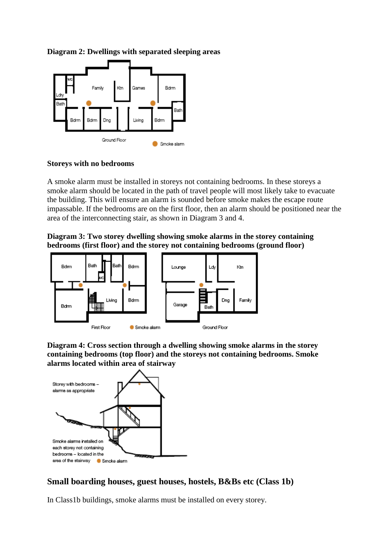

**Diagram 2: Dwellings with separated sleeping areas**

#### **Storeys with no bedrooms**

A smoke alarm must be installed in storeys not containing bedrooms. In these storeys a smoke alarm should be located in the path of travel people will most likely take to evacuate the building. This will ensure an alarm is sounded before smoke makes the escape route impassable. If the bedrooms are on the first floor, then an alarm should be positioned near the area of the interconnecting stair, as shown in Diagram 3 and 4.

**Diagram 3: Two storey dwelling showing smoke alarms in the storey containing bedrooms (first floor) and the storey not containing bedrooms (ground floor)**



**Diagram 4: Cross section through a dwelling showing smoke alarms in the storey containing bedrooms (top floor) and the storeys not containing bedrooms. Smoke alarms located within area of stairway**



## **Small boarding houses, guest houses, hostels, B&Bs etc (Class 1b)**

In Class1b buildings, smoke alarms must be installed on every storey.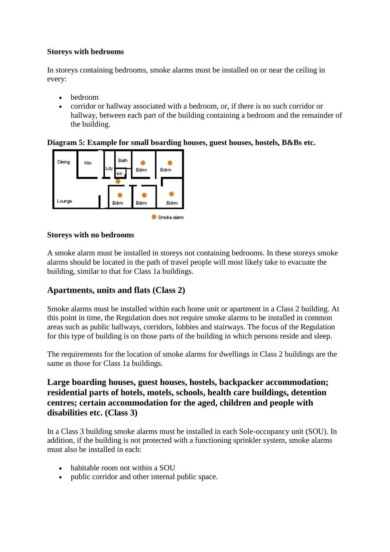## **Storeys with bedrooms**

In storeys containing bedrooms, smoke alarms must be installed on or near the ceiling in every:

- bedroom
- corridor or hallway associated with a bedroom, or, if there is no such corridor or hallway, between each part of the building containing a bedroom and the remainder of the building.

## **Diagram 5: Example for small boarding houses, guest houses, hostels, B&Bs etc.**



### **Storeys with no bedrooms**

A smoke alarm must be installed in storeys not containing bedrooms. In these storeys smoke alarms should be located in the path of travel people will most likely take to evacuate the building, similar to that for Class 1a buildings.

## **Apartments, units and flats (Class 2)**

Smoke alarms must be installed within each home unit or apartment in a Class 2 building. At this point in time, the Regulation does not require smoke alarms to be installed in common areas such as public hallways, corridors, lobbies and stairways. The focus of the Regulation for this type of building is on those parts of the building in which persons reside and sleep.

The requirements for the location of smoke alarms for dwellings in Class 2 buildings are the same as those for Class 1a buildings.

## **Large boarding houses, guest houses, hostels, backpacker accommodation; residential parts of hotels, motels, schools, health care buildings, detention centres; certain accommodation for the aged, children and people with disabilities etc. (Class 3)**

In a Class 3 building smoke alarms must be installed in each Sole-occupancy unit (SOU). In addition, if the building is not protected with a functioning sprinkler system, smoke alarms must also be installed in each:

- habitable room not within a SOU
- public corridor and other internal public space.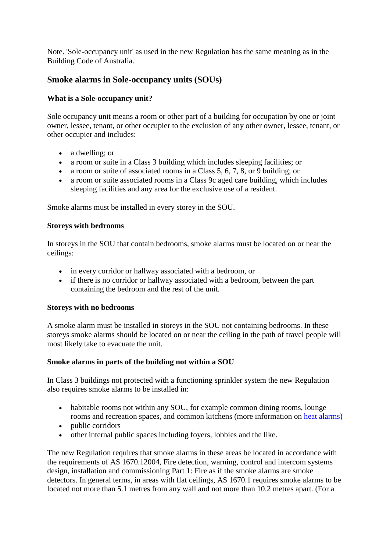Note. 'Sole-occupancy unit' as used in the new Regulation has the same meaning as in the Building Code of Australia.

## **Smoke alarms in Sole-occupancy units (SOUs)**

## **What is a Sole-occupancy unit?**

Sole occupancy unit means a room or other part of a building for occupation by one or joint owner, lessee, tenant, or other occupier to the exclusion of any other owner, lessee, tenant, or other occupier and includes:

- a dwelling; or
- a room or suite in a Class 3 building which includes sleeping facilities; or
- a room or suite of associated rooms in a Class 5, 6, 7, 8, or 9 building; or
- a room or suite associated rooms in a Class 9c aged care building, which includes sleeping facilities and any area for the exclusive use of a resident.

Smoke alarms must be installed in every storey in the SOU.

### **Storeys with bedrooms**

In storeys in the SOU that contain bedrooms, smoke alarms must be located on or near the ceilings:

- in every corridor or hallway associated with a bedroom, or
- if there is no corridor or hallway associated with a bedroom, between the part containing the bedroom and the rest of the unit.

## **Storeys with no bedrooms**

A smoke alarm must be installed in storeys in the SOU not containing bedrooms. In these storeys smoke alarms should be located on or near the ceiling in the path of travel people will most likely take to evacuate the unit.

## **Smoke alarms in parts of the building not within a SOU**

In Class 3 buildings not protected with a functioning sprinkler system the new Regulation also requires smoke alarms to be installed in:

- habitable rooms not within any SOU, for example common dining rooms, lounge rooms and recreation spaces, and common kitchens (more information on [heat alarms\)](http://www.fire.nsw.gov.au/page.php?id=589#heat)
- public corridors
- other internal public spaces including foyers, lobbies and the like.

The new Regulation requires that smoke alarms in these areas be located in accordance with the requirements of AS 1670.12004, Fire detection, warning, control and intercom systems design, installation and commissioning Part 1: Fire as if the smoke alarms are smoke detectors. In general terms, in areas with flat ceilings, AS 1670.1 requires smoke alarms to be located not more than 5.1 metres from any wall and not more than 10.2 metres apart. (For a